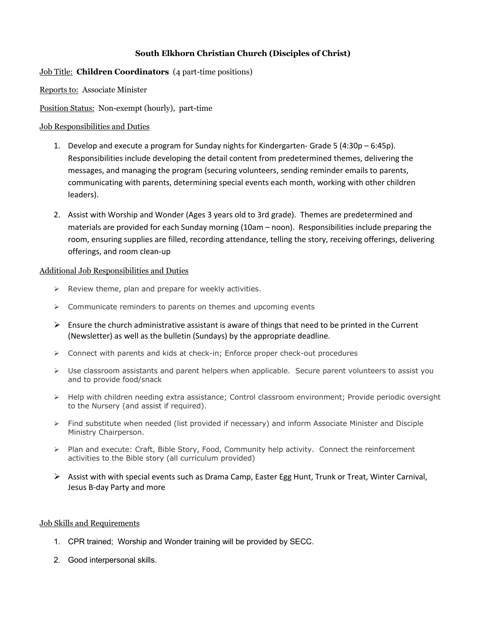# **South Elkhorn Christian Church (Disciples of Christ)**

### Job Title: **Children Coordinators** (4 part-time positions)

Reports to: Associate Minister

Position Status: Non-exempt (hourly), part-time

#### Job Responsibilities and Duties

- 1. Develop and execute a program for Sunday nights for Kindergarten- Grade 5 (4:30p 6:45p). Responsibilities include developing the detail content from predetermined themes, delivering the messages, and managing the program (securing volunteers, sending reminder emails to parents, communicating with parents, determining special events each month, working with other children leaders).
- 2. Assist with Worship and Wonder (Ages 3 years old to 3rd grade). Themes are predetermined and materials are provided for each Sunday morning (10am – noon). Responsibilities include preparing the room, ensuring supplies are filled, recording attendance, telling the story, receiving offerings, delivering offerings, and room clean-up

#### Additional Job Responsibilities and Duties

- $\triangleright$  Review theme, plan and prepare for weekly activities.
- $\triangleright$  Communicate reminders to parents on themes and upcoming events
- $\triangleright$  Ensure the church administrative assistant is aware of things that need to be printed in the Current (Newsletter) as well as the bulletin (Sundays) by the appropriate deadline.
- $\triangleright$  Connect with parents and kids at check-in; Enforce proper check-out procedures
- $\triangleright$  Use classroom assistants and parent helpers when applicable. Secure parent volunteers to assist you and to provide food/snack
- Ø Help with children needing extra assistance; Control classroom environment; Provide periodic oversight to the Nursery (and assist if required).
- $\triangleright$  Find substitute when needed (list provided if necessary) and inform Associate Minister and Disciple Ministry Chairperson.
- $\triangleright$  Plan and execute: Craft, Bible Story, Food, Community help activity. Connect the reinforcement activities to the Bible story (all curriculum provided)
- Ø Assist with with special events such as Drama Camp, Easter Egg Hunt, Trunk or Treat, Winter Carnival, Jesus B-day Party and more

## Job Skills and Requirements

- 1. CPR trained; Worship and Wonder training will be provided by SECC.
- 2. Good interpersonal skills.